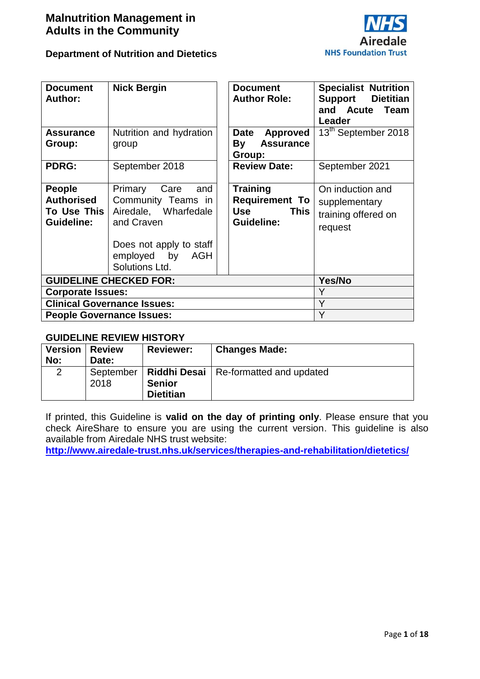

| <b>Document</b><br><b>Author:</b>                                      | <b>Nick Bergin</b>                                                                 | <b>Document</b><br><b>Author Role:</b>                                       | <b>Specialist Nutrition</b><br><b>Support</b> Dietitian<br>and Acute<br><b>Team</b><br>Leader |
|------------------------------------------------------------------------|------------------------------------------------------------------------------------|------------------------------------------------------------------------------|-----------------------------------------------------------------------------------------------|
| <b>Assurance</b><br>Group:                                             | Nutrition and hydration<br>group                                                   | Date<br><b>Approved</b><br>By<br><b>Assurance</b><br>Group:                  | 13 <sup>th</sup> September 2018                                                               |
| <b>PDRG:</b>                                                           | September 2018                                                                     | <b>Review Date:</b>                                                          | September 2021                                                                                |
| <b>People</b><br><b>Authorised</b><br>To Use This<br><b>Guideline:</b> | Primary<br>Care<br>and<br>Community Teams in<br>Airedale, Wharfedale<br>and Craven | Training<br><b>Requirement To</b><br><b>Use</b><br><b>This</b><br>Guideline: | On induction and<br>supplementary<br>training offered on<br>request                           |
|                                                                        | Does not apply to staff<br>employed by AGH<br>Solutions Ltd.                       |                                                                              |                                                                                               |
|                                                                        | <b>GUIDELINE CHECKED FOR:</b>                                                      |                                                                              | Yes/No                                                                                        |
| <b>Corporate Issues:</b>                                               |                                                                                    |                                                                              | Y                                                                                             |
|                                                                        | <b>Clinical Governance Issues:</b>                                                 |                                                                              | Y                                                                                             |
| <b>People Governance Issues:</b>                                       |                                                                                    |                                                                              | Y                                                                                             |

#### **GUIDELINE REVIEW HISTORY**

| <b>Version   Review</b><br>No: | Date: | <b>Reviewer:</b> | <b>Changes Made:</b>                                |
|--------------------------------|-------|------------------|-----------------------------------------------------|
|                                |       |                  | September   Riddhi Desai   Re-formatted and updated |
|                                | 2018  | <b>Senior</b>    |                                                     |
|                                |       | <b>Dietitian</b> |                                                     |

If printed, this Guideline is **valid on the day of printing only**. Please ensure that you check AireShare to ensure you are using the current version. This guideline is also available from Airedale NHS trust website:

**<http://www.airedale-trust.nhs.uk/services/therapies-and-rehabilitation/dietetics/>**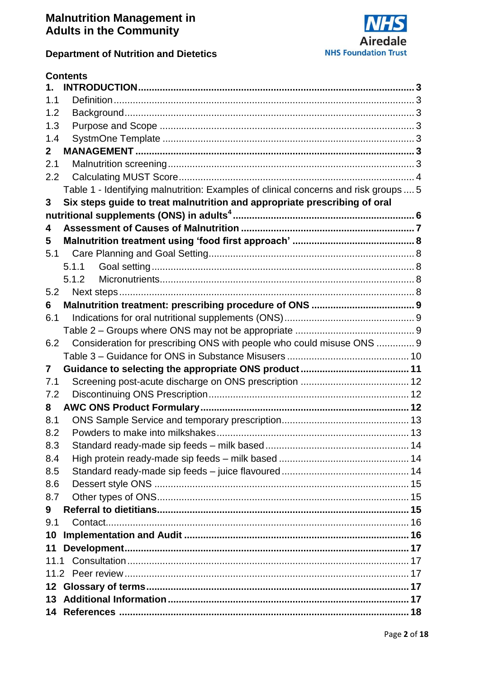

# **Department of Nutrition and Dietetics**

|               | <b>Contents</b>                                                                      |  |
|---------------|--------------------------------------------------------------------------------------|--|
| $\mathbf 1$ . |                                                                                      |  |
| 1.1           |                                                                                      |  |
| 1.2           |                                                                                      |  |
| 1.3           |                                                                                      |  |
| 1.4           |                                                                                      |  |
| $\mathbf 2$   |                                                                                      |  |
| 2.1           |                                                                                      |  |
| 2.2           |                                                                                      |  |
|               | Table 1 - Identifying malnutrition: Examples of clinical concerns and risk groups  5 |  |
| 3             | Six steps guide to treat malnutrition and appropriate prescribing of oral            |  |
|               |                                                                                      |  |
| 4             |                                                                                      |  |
| 5             |                                                                                      |  |
| 5.1           |                                                                                      |  |
|               | 5.1.1                                                                                |  |
|               | 5.1.2                                                                                |  |
| 5.2           |                                                                                      |  |
| 6             |                                                                                      |  |
| 6.1           |                                                                                      |  |
|               |                                                                                      |  |
| 6.2           | Consideration for prescribing ONS with people who could misuse ONS  9                |  |
|               |                                                                                      |  |
| 7             |                                                                                      |  |
| 7.1           |                                                                                      |  |
| 7.2           |                                                                                      |  |
| 8             |                                                                                      |  |
| 8.1           |                                                                                      |  |
| 8.2           |                                                                                      |  |
| 8.3           |                                                                                      |  |
| 8.4           |                                                                                      |  |
| 8.5           |                                                                                      |  |
| 8.6           |                                                                                      |  |
| 8.7           |                                                                                      |  |
| 9             |                                                                                      |  |
| 9.1           |                                                                                      |  |
| 10            |                                                                                      |  |
| 11            |                                                                                      |  |
|               |                                                                                      |  |
|               |                                                                                      |  |
|               |                                                                                      |  |
|               |                                                                                      |  |
|               |                                                                                      |  |
|               |                                                                                      |  |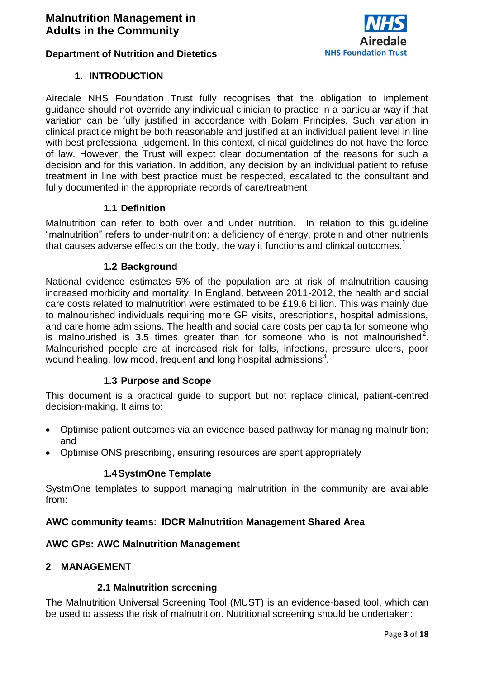

#### **1. INTRODUCTION**

<span id="page-2-0"></span>Airedale NHS Foundation Trust fully recognises that the obligation to implement guidance should not override any individual clinician to practice in a particular way if that variation can be fully justified in accordance with Bolam Principles. Such variation in clinical practice might be both reasonable and justified at an individual patient level in line with best professional judgement. In this context, clinical guidelines do not have the force of law. However, the Trust will expect clear documentation of the reasons for such a decision and for this variation. In addition, any decision by an individual patient to refuse treatment in line with best practice must be respected, escalated to the consultant and fully documented in the appropriate records of care/treatment

#### **1.1 Definition**

<span id="page-2-1"></span>Malnutrition can refer to both over and under nutrition. In relation to this guideline "malnutrition" refers to under-nutrition: a deficiency of energy, protein and other nutrients that causes adverse effects on the body, the way it functions and clinical outcomes.<sup>1</sup>

#### **1.2 Background**

<span id="page-2-2"></span>National evidence estimates 5% of the population are at risk of malnutrition causing increased morbidity and mortality. In England, between 2011-2012, the health and social care costs related to malnutrition were estimated to be £19.6 billion. This was mainly due to malnourished individuals requiring more GP visits, prescriptions, hospital admissions, and care home admissions. The health and social care costs per capita for someone who is malnourished is 3.5 times greater than for someone who is not malnourished<sup>2</sup>. Malnourished people are at increased risk for falls, infections, pressure ulcers, poor wound healing, low mood, frequent and long hospital admissions<sup>3</sup>.

#### **1.3 Purpose and Scope**

<span id="page-2-3"></span>This document is a practical guide to support but not replace clinical, patient-centred decision-making. It aims to:

- Optimise patient outcomes via an evidence-based pathway for managing malnutrition; and
- <span id="page-2-4"></span>• Optimise ONS prescribing, ensuring resources are spent appropriately

#### **1.4SystmOne Template**

SystmOne templates to support managing malnutrition in the community are available from:

#### **AWC community teams: IDCR Malnutrition Management Shared Area**

#### **AWC GPs: AWC Malnutrition Management**

#### <span id="page-2-6"></span><span id="page-2-5"></span>**2 MANAGEMENT**

#### **2.1 Malnutrition screening**

The Malnutrition Universal Screening Tool (MUST) is an evidence-based tool, which can be used to assess the risk of malnutrition. Nutritional screening should be undertaken: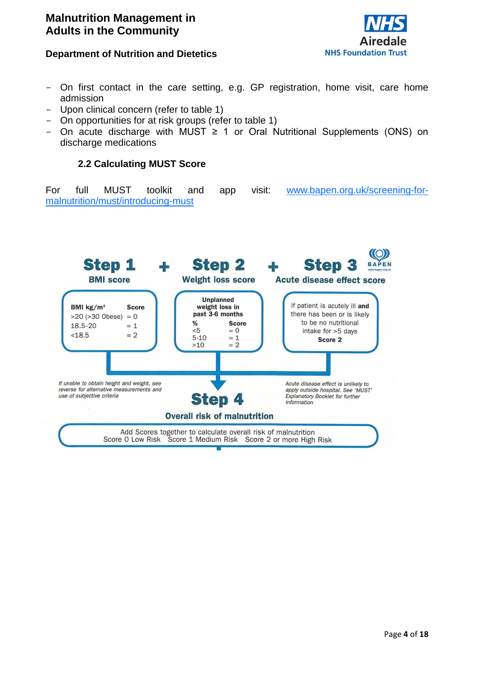

#### **Department of Nutrition and Dietetics**

- On first contact in the care setting, e.g. GP registration, home visit, care home admission
- Upon clinical concern (refer to table 1)
- On opportunities for at risk groups (refer to table 1)
- <span id="page-3-0"></span>- On acute discharge with MUST  $\geq$  1 or Oral Nutritional Supplements (ONS) on discharge medications

#### **2.2 Calculating MUST Score**

For full MUST toolkit and app visit: [www.bapen.org.uk/screening-for](http://www.bapen.org.uk/screening-for-malnutrition/must/introducing-must)[malnutrition/must/introducing-must](http://www.bapen.org.uk/screening-for-malnutrition/must/introducing-must)

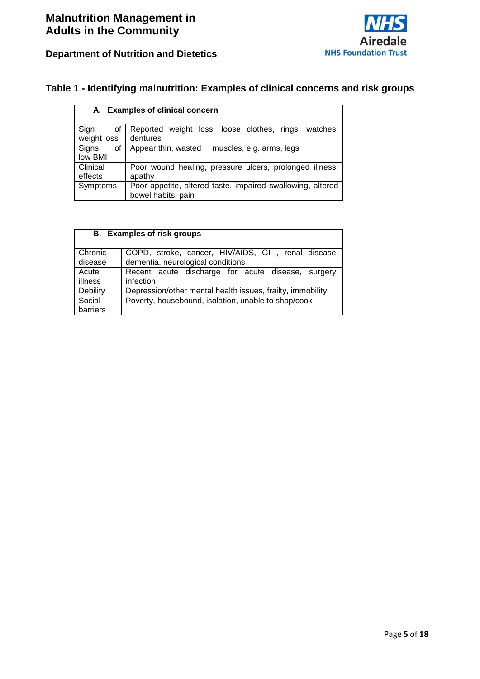

# **Department of Nutrition and Dietetics**

#### <span id="page-4-0"></span>**Table 1 - Identifying malnutrition: Examples of clinical concerns and risk groups**

|                           | A. Examples of clinical concern                                                  |
|---------------------------|----------------------------------------------------------------------------------|
| Sign<br>οf<br>weight loss | weight loss, loose clothes, rings, watches,<br>Reported<br>dentures              |
| Signs<br>οf<br>low BMI    | Appear thin, wasted<br>muscles, e.g. arms, legs                                  |
| Clinical<br>effects       | Poor wound healing, pressure ulcers, prolonged illness,<br>apathy                |
| Symptoms                  | Poor appetite, altered taste, impaired swallowing, altered<br>bowel habits, pain |

| <b>B.</b> Examples of risk groups |                                                            |  |
|-----------------------------------|------------------------------------------------------------|--|
|                                   |                                                            |  |
| Chronic                           | COPD, stroke, cancer, HIV/AIDS, GI, renal disease,         |  |
| disease                           | dementia, neurological conditions                          |  |
| Acute                             | Recent acute discharge for acute disease, surgery,         |  |
| illness                           | infection                                                  |  |
| Debility                          | Depression/other mental health issues, frailty, immobility |  |
| Social                            | Poverty, housebound, isolation, unable to shop/cook        |  |
| barriers                          |                                                            |  |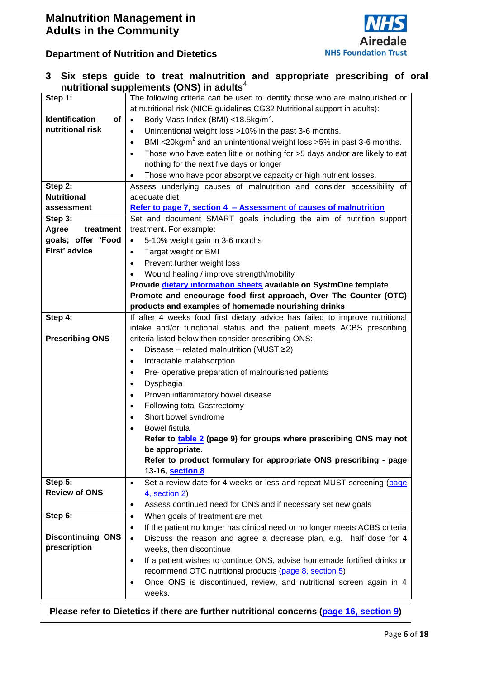

|                             | nutritional supplements (ONS) in adults <sup>4</sup>                                     |  |
|-----------------------------|------------------------------------------------------------------------------------------|--|
| Step 1:                     | The following criteria can be used to identify those who are malnourished or             |  |
|                             | at nutritional risk (NICE guidelines CG32 Nutritional support in adults):                |  |
| <b>Identification</b><br>of | Body Mass Index (BMI) <18.5kg/m <sup>2</sup> .<br>$\bullet$                              |  |
| nutritional risk            | Unintentional weight loss >10% in the past 3-6 months.<br>$\bullet$                      |  |
|                             | BMI <20kg/ $m^2$ and an unintentional weight loss >5% in past 3-6 months.<br>$\bullet$   |  |
|                             | Those who have eaten little or nothing for >5 days and/or are likely to eat              |  |
|                             | nothing for the next five days or longer                                                 |  |
|                             | Those who have poor absorptive capacity or high nutrient losses.<br>$\bullet$            |  |
| Step 2:                     | Assess underlying causes of malnutrition and consider accessibility of                   |  |
| <b>Nutritional</b>          | adequate diet                                                                            |  |
| assessment                  | Refer to page 7, section 4 - Assessment of causes of malnutrition                        |  |
| Step 3:                     | Set and document SMART goals including the aim of nutrition support                      |  |
| Agree<br>treatment          | treatment. For example:                                                                  |  |
| goals; offer 'Food          | 5-10% weight gain in 3-6 months<br>$\bullet$                                             |  |
| First' advice               | Target weight or BMI<br>$\bullet$                                                        |  |
|                             | Prevent further weight loss<br>$\bullet$                                                 |  |
|                             | Wound healing / improve strength/mobility                                                |  |
|                             | Provide dietary information sheets available on SystmOne template                        |  |
|                             | Promote and encourage food first approach, Over The Counter (OTC)                        |  |
|                             | products and examples of homemade nourishing drinks                                      |  |
| Step 4:                     | If after 4 weeks food first dietary advice has failed to improve nutritional             |  |
|                             | intake and/or functional status and the patient meets ACBS prescribing                   |  |
| <b>Prescribing ONS</b>      | criteria listed below then consider prescribing ONS:                                     |  |
|                             | Disease – related malnutrition (MUST ≥2)<br>$\bullet$                                    |  |
|                             | Intractable malabsorption<br>$\bullet$                                                   |  |
|                             | Pre- operative preparation of malnourished patients<br>$\bullet$                         |  |
|                             | Dysphagia<br>$\bullet$                                                                   |  |
|                             | Proven inflammatory bowel disease<br>$\bullet$                                           |  |
|                             | <b>Following total Gastrectomy</b><br>$\bullet$                                          |  |
|                             | Short bowel syndrome<br>$\bullet$                                                        |  |
|                             | <b>Bowel fistula</b>                                                                     |  |
|                             | Refer to table 2 (page 9) for groups where prescribing ONS may not                       |  |
|                             | be appropriate.                                                                          |  |
|                             | Refer to product formulary for appropriate ONS prescribing - page                        |  |
|                             | 13-16, section 8                                                                         |  |
| Step 5:                     | Set a review date for 4 weeks or less and repeat MUST screening (page<br>٠               |  |
| <b>Review of ONS</b>        | 4, section 2)                                                                            |  |
|                             | Assess continued need for ONS and if necessary set new goals<br>$\bullet$                |  |
| Step 6:                     | When goals of treatment are met<br>$\bullet$                                             |  |
|                             | If the patient no longer has clinical need or no longer meets ACBS criteria<br>$\bullet$ |  |
| <b>Discontinuing ONS</b>    | Discuss the reason and agree a decrease plan, e.g. half dose for 4<br>$\bullet$          |  |
| prescription                | weeks, then discontinue                                                                  |  |
|                             | If a patient wishes to continue ONS, advise homemade fortified drinks or<br>$\bullet$    |  |
|                             | recommend OTC nutritional products (page 8, section 5)                                   |  |
|                             | Once ONS is discontinued, review, and nutritional screen again in 4                      |  |
|                             | weeks.                                                                                   |  |
|                             |                                                                                          |  |

<span id="page-5-0"></span>**3 Six steps guide to treat malnutrition and appropriate prescribing of oral** 

<span id="page-5-1"></span>**Please refer to Dietetics if there are further nutritional concerns (page 16, section 9)**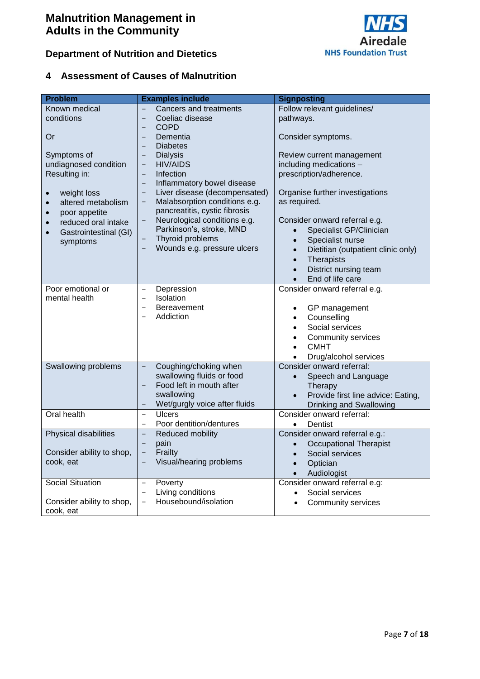

# <span id="page-6-0"></span>**4 Assessment of Causes of Malnutrition**

| <b>Problem</b><br>Known medical<br>conditions<br>Or<br>Symptoms of<br>undiagnosed condition<br>Resulting in:<br>weight loss<br>$\bullet$<br>altered metabolism<br>$\bullet$<br>poor appetite<br>$\bullet$<br>reduced oral intake<br>$\bullet$<br>Gastrointestinal (GI)<br>$\bullet$<br>symptoms | <b>Examples include</b><br><b>Cancers and treatments</b><br>Coeliac disease<br>$\qquad \qquad -$<br><b>COPD</b><br>$\qquad \qquad -$<br>Dementia<br>$\overline{\phantom{0}}$<br><b>Diabetes</b><br><b>Dialysis</b><br>$\overline{\phantom{0}}$<br><b>HIV/AIDS</b><br>$\overline{\phantom{0}}$<br>Infection<br>$\qquad \qquad -$<br>Inflammatory bowel disease<br>$\qquad \qquad -$<br>Liver disease (decompensated)<br>$\qquad \qquad -$<br>Malabsorption conditions e.g.<br>$\qquad \qquad -$<br>pancreatitis, cystic fibrosis<br>Neurological conditions e.g.<br>Parkinson's, stroke, MND<br>Thyroid problems<br>Wounds e.g. pressure ulcers<br>$\overline{\phantom{0}}$ | <b>Signposting</b><br>Follow relevant guidelines/<br>pathways.<br>Consider symptoms.<br>Review current management<br>including medications -<br>prescription/adherence.<br>Organise further investigations<br>as required.<br>Consider onward referral e.g.<br>Specialist GP/Clinician<br>Specialist nurse<br>$\bullet$<br>Dietitian (outpatient clinic only)<br>Therapists<br>$\bullet$<br>District nursing team<br>$\bullet$<br>End of life care |
|-------------------------------------------------------------------------------------------------------------------------------------------------------------------------------------------------------------------------------------------------------------------------------------------------|----------------------------------------------------------------------------------------------------------------------------------------------------------------------------------------------------------------------------------------------------------------------------------------------------------------------------------------------------------------------------------------------------------------------------------------------------------------------------------------------------------------------------------------------------------------------------------------------------------------------------------------------------------------------------|----------------------------------------------------------------------------------------------------------------------------------------------------------------------------------------------------------------------------------------------------------------------------------------------------------------------------------------------------------------------------------------------------------------------------------------------------|
| Poor emotional or<br>mental health                                                                                                                                                                                                                                                              | Depression<br>$\qquad \qquad -$<br>Isolation<br>$\qquad \qquad -$<br>Bereavement<br>$\overline{\phantom{0}}$<br>Addiction<br>$\overline{\phantom{0}}$                                                                                                                                                                                                                                                                                                                                                                                                                                                                                                                      | $\bullet$<br>Consider onward referral e.g.<br>GP management<br>$\bullet$<br>Counselling<br>$\bullet$<br>Social services<br>Community services<br><b>CMHT</b><br>$\bullet$<br>Drug/alcohol services<br>$\bullet$                                                                                                                                                                                                                                    |
| Swallowing problems                                                                                                                                                                                                                                                                             | Coughing/choking when<br>$\qquad \qquad -$<br>swallowing fluids or food<br>Food left in mouth after<br>$\qquad \qquad -$<br>swallowing<br>Wet/gurgly voice after fluids<br>$\qquad \qquad -$                                                                                                                                                                                                                                                                                                                                                                                                                                                                               | Consider onward referral:<br>Speech and Language<br>$\bullet$<br>Therapy<br>Provide first line advice: Eating,<br>$\bullet$<br>Drinking and Swallowing                                                                                                                                                                                                                                                                                             |
| Oral health                                                                                                                                                                                                                                                                                     | <b>Ulcers</b><br>$\qquad \qquad -$<br>Poor dentition/dentures<br>$\overline{\phantom{a}}$                                                                                                                                                                                                                                                                                                                                                                                                                                                                                                                                                                                  | Consider onward referral:<br>Dentist<br>$\bullet$                                                                                                                                                                                                                                                                                                                                                                                                  |
| Physical disabilities<br>Consider ability to shop,<br>cook, eat                                                                                                                                                                                                                                 | Reduced mobility<br>$\qquad \qquad -$<br>pain<br>Frailty<br>Visual/hearing problems                                                                                                                                                                                                                                                                                                                                                                                                                                                                                                                                                                                        | Consider onward referral e.g.:<br><b>Occupational Therapist</b><br>$\bullet$<br>Social services<br>Optician<br>$\bullet$<br>Audiologist                                                                                                                                                                                                                                                                                                            |
| Social Situation<br>Consider ability to shop,<br>cook, eat                                                                                                                                                                                                                                      | Poverty<br>$\overline{\phantom{0}}$<br>Living conditions<br>Housebound/isolation<br>$\qquad \qquad -$                                                                                                                                                                                                                                                                                                                                                                                                                                                                                                                                                                      | Consider onward referral e.g:<br>Social services<br>Community services                                                                                                                                                                                                                                                                                                                                                                             |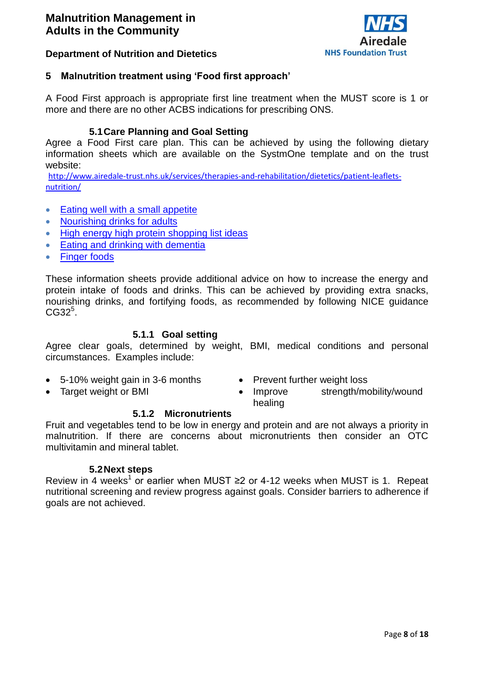

#### **Department of Nutrition and Dietetics**

#### <span id="page-7-0"></span>**5 Malnutrition treatment using 'Food first approach'**

A Food First approach is appropriate first line treatment when the MUST score is 1 or more and there are no other ACBS indications for prescribing ONS.

#### **5.1Care Planning and Goal Setting**

<span id="page-7-1"></span>Agree a Food First care plan. This can be achieved by using the following dietary information sheets which are available on the SystmOne template and on the trust website:

[http://www.airedale-trust.nhs.uk/services/therapies-and-rehabilitation/dietetics/patient-leaflets](http://www.airedale-trust.nhs.uk/services/therapies-and-rehabilitation/dietetics/patient-leaflets-nutrition/)[nutrition/](http://www.airedale-trust.nhs.uk/services/therapies-and-rehabilitation/dietetics/patient-leaflets-nutrition/)

- [Eating well with a small appetite](Patient%20leaflets%20nutrition%20%20Airedale%20NHS%20Foundation%20Trust.mht)
- [Nourishing drinks for adults](Patient%20leaflets%20nutrition%20%20Airedale%20NHS%20Foundation%20Trust.mht)
- [High energy high protein shopping list ideas](Patient%20leaflets%20nutrition%20%20Airedale%20NHS%20Foundation%20Trust.mht)
- **[Eating and drinking with dementia](Patient%20leaflets%20nutrition%20%20Airedale%20NHS%20Foundation%20Trust.mht)**
- [Finger foods](Patient%20leaflets%20nutrition%20%20Airedale%20NHS%20Foundation%20Trust.mht)

These information sheets provide additional advice on how to increase the energy and protein intake of foods and drinks. This can be achieved by providing extra snacks, nourishing drinks, and fortifying foods, as recommended by following NICE guidance CG32<sup>5</sup>.

#### **5.1.1 Goal setting**

<span id="page-7-2"></span>Agree clear goals, determined by weight, BMI, medical conditions and personal circumstances. Examples include:

- 5-10% weight gain in 3-6 months
- Target weight or BMI
- Prevent further weight loss
- Improve strength/mobility/wound healing

#### **5.1.2 Micronutrients**

<span id="page-7-3"></span>Fruit and vegetables tend to be low in energy and protein and are not always a priority in malnutrition. If there are concerns about micronutrients then consider an OTC multivitamin and mineral tablet.

#### **5.2Next steps**

<span id="page-7-4"></span>Review in 4 weeks<sup>1</sup> or earlier when MUST ≥2 or 4-12 weeks when MUST is 1. Repeat nutritional screening and review progress against goals. Consider barriers to adherence if goals are not achieved.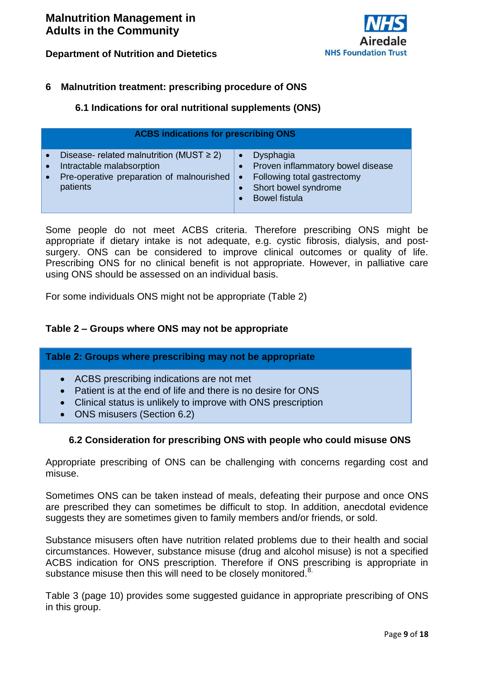# **NHS Foundation Trust**

#### **Department of Nutrition and Dietetics**

#### <span id="page-8-1"></span><span id="page-8-0"></span>**6 Malnutrition treatment: prescribing procedure of ONS**

#### **6.1 Indications for oral nutritional supplements (ONS)**

| <b>ACBS indications for prescribing ONS</b>   |                                   |  |  |
|-----------------------------------------------|-----------------------------------|--|--|
| Disease- related malnutrition (MUST $\geq$ 2) | <b>Dysphagia</b>                  |  |  |
| Intractable malabsorption                     | Proven inflammatory bowel disease |  |  |
| Pre-operative preparation of malnourished     | Following total gastrectomy       |  |  |
| $\bullet$                                     | Short bowel syndrome              |  |  |
| patients                                      | <b>Bowel fistula</b>              |  |  |

Some people do not meet ACBS criteria. Therefore prescribing ONS might be appropriate if dietary intake is not adequate, e.g. cystic fibrosis, dialysis, and postsurgery. ONS can be considered to improve clinical outcomes or quality of life. Prescribing ONS for no clinical benefit is not appropriate. However, in palliative care using ONS should be assessed on an individual basis.

For some individuals ONS might not be appropriate (Table 2)

#### <span id="page-8-2"></span>**Table 2 – Groups where ONS may not be appropriate**

| Table 2: Groups where prescribing may not be appropriate                                                                                                                                                                  |  |  |
|---------------------------------------------------------------------------------------------------------------------------------------------------------------------------------------------------------------------------|--|--|
| • ACBS prescribing indications are not met<br>Patient is at the end of life and there is no desire for ONS<br>$\bullet$<br>• Clinical status is unlikely to improve with ONS prescription<br>• ONS misusers (Section 6.2) |  |  |

#### **6.2 Consideration for prescribing ONS with people who could misuse ONS**

<span id="page-8-3"></span>Appropriate prescribing of ONS can be challenging with concerns regarding cost and misuse.

Sometimes ONS can be taken instead of meals, defeating their purpose and once ONS are prescribed they can sometimes be difficult to stop. In addition, anecdotal evidence suggests they are sometimes given to family members and/or friends, or sold.

Substance misusers often have nutrition related problems due to their health and social circumstances. However, substance misuse (drug and alcohol misuse) is not a specified ACBS indication for ONS prescription. Therefore if ONS prescribing is appropriate in substance misuse then this will need to be closely monitored.<sup>8.</sup>

Table 3 (page 10) provides some suggested guidance in appropriate prescribing of ONS in this group.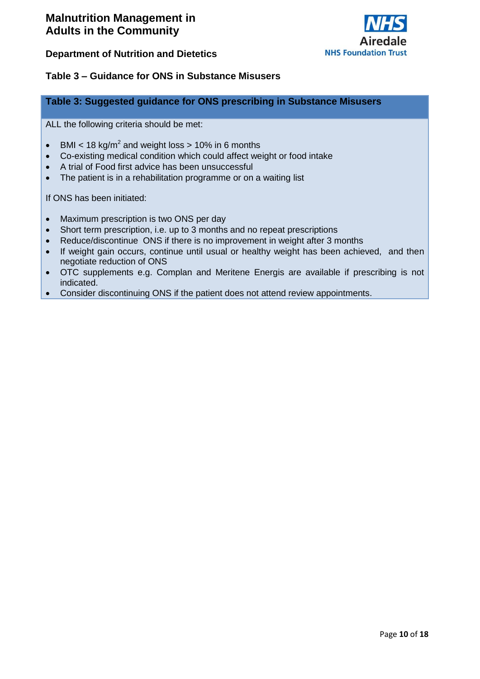

#### <span id="page-9-0"></span>**Table 3 – Guidance for ONS in Substance Misusers**

#### **Table 3: Suggested guidance for ONS prescribing in Substance Misusers**

ALL the following criteria should be met:

- BMI < 18 kg/m<sup>2</sup> and weight loss > 10% in 6 months
- Co-existing medical condition which could affect weight or food intake
- A trial of Food first advice has been unsuccessful
- The patient is in a rehabilitation programme or on a waiting list

If ONS has been initiated:

- Maximum prescription is two ONS per day
- Short term prescription, i.e. up to 3 months and no repeat prescriptions
- Reduce/discontinue ONS if there is no improvement in weight after 3 months
- If weight gain occurs, continue until usual or healthy weight has been achieved, and then negotiate reduction of ONS
- OTC supplements e.g. Complan and Meritene Energis are available if prescribing is not indicated.
- Consider discontinuing ONS if the patient does not attend review appointments.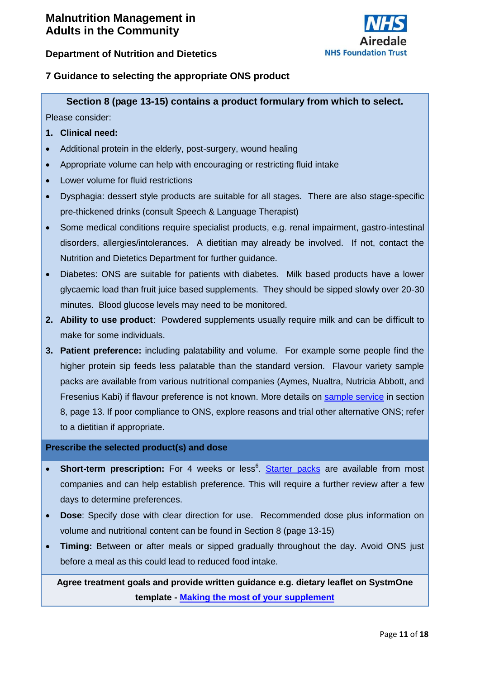

#### <span id="page-10-0"></span>**7 Guidance to selecting the appropriate ONS product**

**Section 8 (page 13-15) contains a product formulary from which to select.**

Please consider:

#### **1. Clinical need:**

- Additional protein in the elderly, post-surgery, wound healing
- Appropriate volume can help with encouraging or restricting fluid intake
- Lower volume for fluid restrictions
- Dysphagia: dessert style products are suitable for all stages. There are also stage-specific pre-thickened drinks (consult Speech & Language Therapist)
- Some medical conditions require specialist products, e.g. renal impairment, gastro-intestinal disorders, allergies/intolerances. A dietitian may already be involved. If not, contact the Nutrition and Dietetics Department for further guidance.
- Diabetes: ONS are suitable for patients with diabetes. Milk based products have a lower glycaemic load than fruit juice based supplements. They should be sipped slowly over 20-30 minutes. Blood glucose levels may need to be monitored.
- **2. Ability to use product**: Powdered supplements usually require milk and can be difficult to make for some individuals.
- **3. Patient preference:** including palatability and volume. For example some people find the higher protein sip feeds less palatable than the standard version. Flavour variety sample packs are available from various nutritional companies (Aymes, Nualtra, Nutricia Abbott, and Fresenius Kabi) if flavour preference is not known. More details on [sample service](#page-12-0) in section 8, page 13. If poor compliance to ONS, explore reasons and trial other alternative ONS; refer to a dietitian if appropriate.

#### **Prescribe the selected product(s) and dose**

- Short-term prescription: For 4 weeks or less<sup>6</sup>. [Starter packs](#page-12-0) are available from most companies and can help establish preference. This will require a further review after a few days to determine preferences.
- **Dose**: Specify dose with clear direction for use. Recommended dose plus information on volume and nutritional content can be found in Section 8 (page 13-15)
- **Timing:** Between or after meals or sipped gradually throughout the day. Avoid ONS just before a meal as this could lead to reduced food intake.

**Agree treatment goals and provide written guidance e.g. dietary leaflet on SystmOne template - [Making the most of your supplement](http://www.airedale-trust.nhs.uk/wp/wp-content/uploads/2018/09/Making-the-most-of-your-supplement-drinks.pdf)**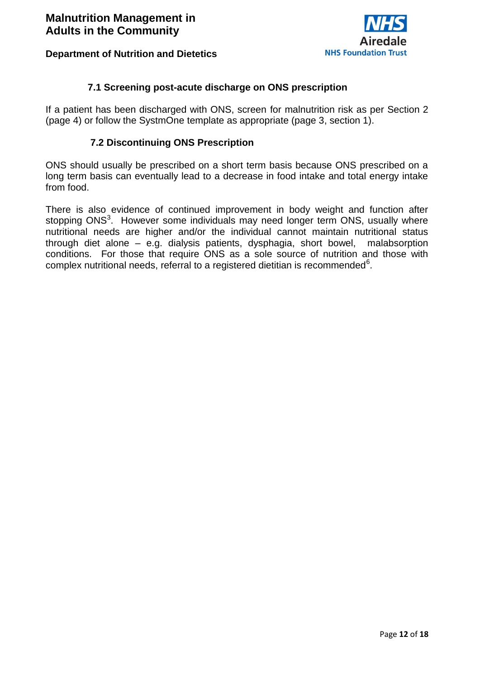

#### **7.1 Screening post-acute discharge on ONS prescription**

<span id="page-11-0"></span>If a patient has been discharged with ONS, screen for malnutrition risk as per Section 2 (page 4) or follow the SystmOne template as appropriate (page 3, section 1).

#### **7.2 Discontinuing ONS Prescription**

<span id="page-11-1"></span>ONS should usually be prescribed on a short term basis because ONS prescribed on a long term basis can eventually lead to a decrease in food intake and total energy intake from food.

<span id="page-11-2"></span>There is also evidence of continued improvement in body weight and function after stopping ONS<sup>3</sup>. However some individuals may need longer term ONS, usually where nutritional needs are higher and/or the individual cannot maintain nutritional status through diet alone – e.g. dialysis patients, dysphagia, short bowel, malabsorption conditions. For those that require ONS as a sole source of nutrition and those with complex nutritional needs, referral to a registered dietitian is recommended $6$ .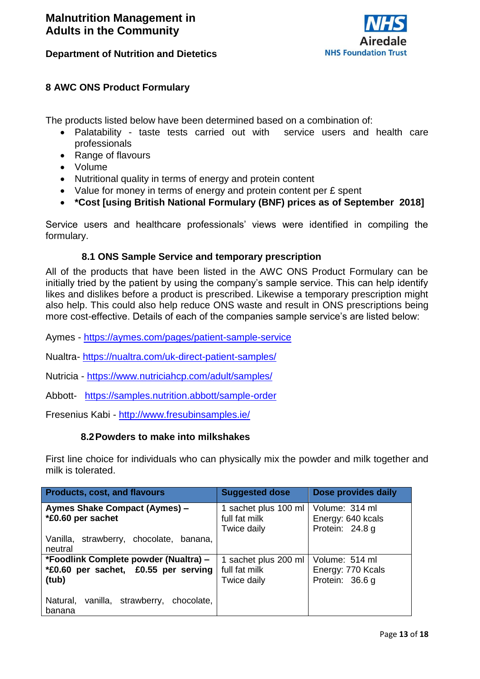

#### <span id="page-12-2"></span>**8 AWC ONS Product Formulary**

The products listed below have been determined based on a combination of:

- Palatability taste tests carried out with service users and health care professionals
- Range of flavours
- Volume
- Nutritional quality in terms of energy and protein content
- Value for money in terms of energy and protein content per £ spent
- **\*Cost [using British National Formulary (BNF) prices as of September 2018]**

<span id="page-12-0"></span>Service users and healthcare professionals' views were identified in compiling the formulary.

#### **8.1 ONS Sample Service and temporary prescription**

All of the products that have been listed in the AWC ONS Product Formulary can be initially tried by the patient by using the company's sample service. This can help identify likes and dislikes before a product is prescribed. Likewise a temporary prescription might also help. This could also help reduce ONS waste and result in ONS prescriptions being more cost-effective. Details of each of the companies sample service's are listed below:

- Aymes <https://aymes.com/pages/patient-sample-service>
- Nualtra- <https://nualtra.com/uk-direct-patient-samples/>
- Nutricia <https://www.nutriciahcp.com/adult/samples/>
- Abbott- <https://samples.nutrition.abbott/sample-order>

<span id="page-12-1"></span>Fresenius Kabi - <http://www.fresubinsamples.ie/>

#### **8.2Powders to make into milkshakes**

First line choice for individuals who can physically mix the powder and milk together and milk is tolerated.

| <b>Products, cost, and flavours</b>                                                    | <b>Suggested dose</b>                                | Dose provides daily                                    |
|----------------------------------------------------------------------------------------|------------------------------------------------------|--------------------------------------------------------|
| Aymes Shake Compact (Aymes) -<br>*£0.60 per sachet                                     | 1 sachet plus 100 ml<br>full fat milk<br>Twice daily | Volume: 314 ml<br>Energy: 640 kcals<br>Protein: 24.8 g |
| Vanilla, strawberry, chocolate, banana,<br>neutral                                     |                                                      |                                                        |
| *Foodlink Complete powder (Nualtra) -<br>*£0.60 per sachet, £0.55 per serving<br>(tub) | 1 sachet plus 200 ml<br>full fat milk<br>Twice daily | Volume: 514 ml<br>Energy: 770 Kcals<br>Protein: 36.6 g |
| Natural,<br>vanilla, strawberry, chocolate,<br>banana                                  |                                                      |                                                        |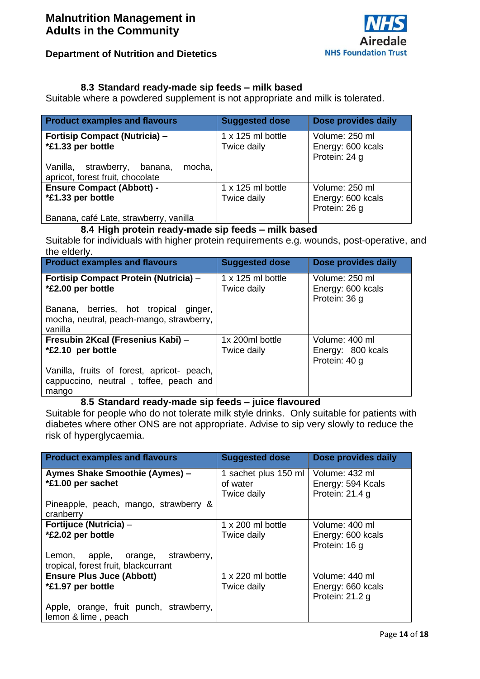

#### **8.3 Standard ready-made sip feeds – milk based**

<span id="page-13-0"></span>Suitable where a powdered supplement is not appropriate and milk is tolerated.

| <b>Product examples and flavours</b>                                             | <b>Suggested dose</b>                   | Dose provides daily                                  |
|----------------------------------------------------------------------------------|-----------------------------------------|------------------------------------------------------|
| <b>Fortisip Compact (Nutricia) -</b><br>*£1.33 per bottle                        | $1 \times 125$ ml bottle<br>Twice daily | Volume: 250 ml<br>Energy: 600 kcals<br>Protein: 24 g |
| mocha.<br>Vanilla,<br>strawberry,<br>banana,<br>apricot, forest fruit, chocolate |                                         |                                                      |
| <b>Ensure Compact (Abbott) -</b><br>*£1.33 per bottle                            | 1 x 125 ml bottle<br>Twice daily        | Volume: 250 ml<br>Energy: 600 kcals<br>Protein: 26 g |
| Banana, café Late, strawberry, vanilla                                           |                                         |                                                      |

#### **8.4 High protein ready-made sip feeds – milk based**

<span id="page-13-1"></span>Suitable for individuals with higher protein requirements e.g. wounds, post-operative, and the elderly.

| <b>Product examples and flavours</b>                                                          | <b>Suggested dose</b>                   | Dose provides daily                                  |
|-----------------------------------------------------------------------------------------------|-----------------------------------------|------------------------------------------------------|
| Fortisip Compact Protein (Nutricia) -<br>*£2.00 per bottle                                    | $1 \times 125$ ml bottle<br>Twice daily | Volume: 250 ml<br>Energy: 600 kcals<br>Protein: 36 g |
| Banana, berries, hot tropical ginger,<br>mocha, neutral, peach-mango, strawberry,<br>vanilla  |                                         |                                                      |
| Fresubin 2Kcal (Fresenius Kabi) -<br>*£2.10 per bottle                                        | 1x 200ml bottle<br>Twice daily          | Volume: 400 ml<br>Energy: 800 kcals<br>Protein: 40 g |
| Vanilla, fruits of forest, apricot- peach,<br>cappuccino, neutral, toffee, peach and<br>mango |                                         |                                                      |

#### **8.5 Standard ready-made sip feeds – juice flavoured**

<span id="page-13-2"></span>Suitable for people who do not tolerate milk style drinks. Only suitable for patients with diabetes where other ONS are not appropriate. Advise to sip very slowly to reduce the risk of hyperglycaemia.

| <b>Product examples and flavours</b>                                      | <b>Suggested dose</b>                           | Dose provides daily                                    |
|---------------------------------------------------------------------------|-------------------------------------------------|--------------------------------------------------------|
| Aymes Shake Smoothie (Aymes) -<br>*£1.00 per sachet                       | 1 sachet plus 150 ml<br>of water<br>Twice daily | Volume: 432 ml<br>Energy: 594 Kcals<br>Protein: 21.4 g |
| Pineapple, peach, mango, strawberry &<br>cranberry                        |                                                 |                                                        |
| Fortijuce (Nutricia) -<br>*£2.02 per bottle                               | 1 x 200 ml bottle<br>Twice daily                | Volume: 400 ml<br>Energy: 600 kcals<br>Protein: 16 g   |
| Lemon, apple, orange, strawberry,<br>tropical, forest fruit, blackcurrant |                                                 |                                                        |
| <b>Ensure Plus Juce (Abbott)</b><br>*£1.97 per bottle                     | $1 \times 220$ ml bottle<br>Twice daily         | Volume: 440 ml<br>Energy: 660 kcals<br>Protein: 21.2 g |
| Apple, orange, fruit punch, strawberry,<br>lemon & lime, peach            |                                                 |                                                        |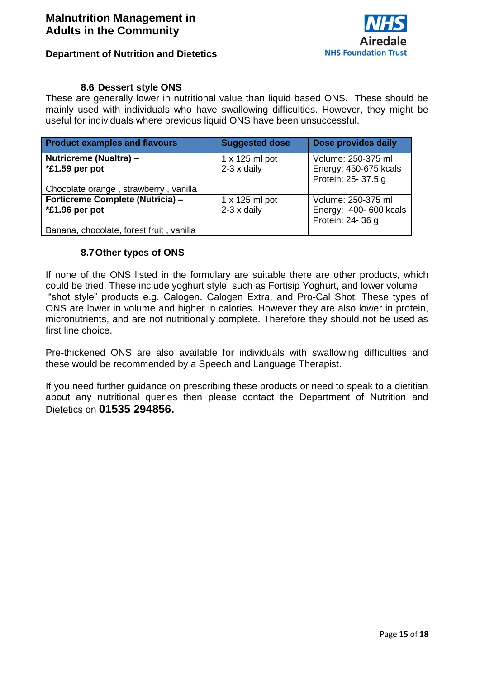

#### **8.6 Dessert style ONS**

<span id="page-14-0"></span>These are generally lower in nutritional value than liquid based ONS. These should be mainly used with individuals who have swallowing difficulties. However, they might be useful for individuals where previous liquid ONS have been unsuccessful.

| <b>Product examples and flavours</b>     | <b>Suggested dose</b> | Dose provides daily    |
|------------------------------------------|-----------------------|------------------------|
| Nutricreme (Nualtra) -                   | $1 \times 125$ ml pot | Volume: 250-375 ml     |
| *£1.59 per pot                           | $2-3 \times$ daily    | Energy: 450-675 kcals  |
|                                          |                       | Protein: 25-37.5 g     |
| Chocolate orange, strawberry, vanilla    |                       |                        |
| Forticreme Complete (Nutricia) -         | $1 \times 125$ ml pot | Volume: 250-375 ml     |
| *£1.96 per pot                           | $2-3 \times$ daily    | Energy: 400- 600 kcals |
|                                          |                       | Protein: 24-36 g       |
| Banana, chocolate, forest fruit, vanilla |                       |                        |

#### **8.7Other types of ONS**

<span id="page-14-1"></span>If none of the ONS listed in the formulary are suitable there are other products, which could be tried. These include yoghurt style, such as Fortisip Yoghurt, and lower volume "shot style" products e.g. Calogen, Calogen Extra, and Pro-Cal Shot. These types of ONS are lower in volume and higher in calories. However they are also lower in protein, micronutrients, and are not nutritionally complete. Therefore they should not be used as first line choice.

Pre-thickened ONS are also available for individuals with swallowing difficulties and these would be recommended by a Speech and Language Therapist.

<span id="page-14-2"></span>If you need further guidance on prescribing these products or need to speak to a dietitian about any nutritional queries then please contact the Department of Nutrition and Dietetics on **01535 294856.**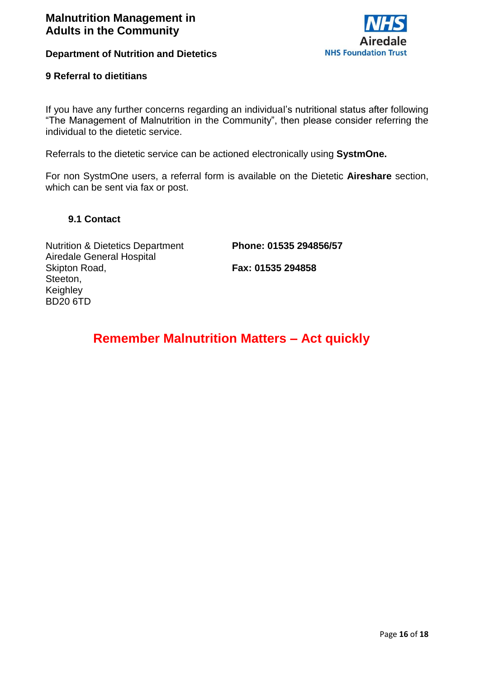

#### **9 Referral to dietitians**

If you have any further concerns regarding an individual's nutritional status after following "The Management of Malnutrition in the Community", then please consider referring the individual to the dietetic service.

Referrals to the dietetic service can be actioned electronically using **SystmOne.** 

For non SystmOne users, a referral form is available on the Dietetic **Aireshare** section, which can be sent via fax or post.

#### <span id="page-15-0"></span> **9.1 Contact**

Nutrition & Dietetics Department Airedale General Hospital Skipton Road, Steeton, Keighley BD20 6TD

**Phone: 01535 294856/57**

**Fax: 01535 294858**

# <span id="page-15-1"></span> **Remember Malnutrition Matters – Act quickly**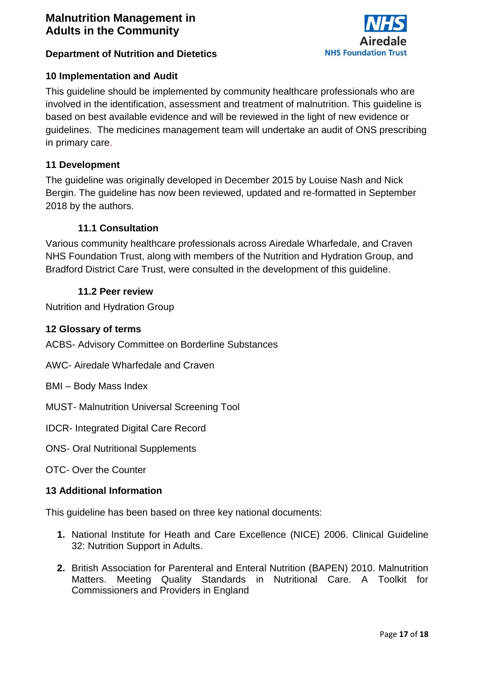

#### **Department of Nutrition and Dietetics**

#### **10 Implementation and Audit**

This guideline should be implemented by community healthcare professionals who are involved in the identification, assessment and treatment of malnutrition. This guideline is based on best available evidence and will be reviewed in the light of new evidence or guidelines. The medicines management team will undertake an audit of ONS prescribing in primary care.

#### <span id="page-16-0"></span>**11 Development**

The guideline was originally developed in December 2015 by Louise Nash and Nick Bergin. The guideline has now been reviewed, updated and re-formatted in September 2018 by the authors.

#### **11.1 Consultation**

<span id="page-16-1"></span>Various community healthcare professionals across Airedale Wharfedale, and Craven NHS Foundation Trust, along with members of the Nutrition and Hydration Group, and Bradford District Care Trust, were consulted in the development of this guideline.

#### **11.2 Peer review**

<span id="page-16-2"></span>Nutrition and Hydration Group

#### <span id="page-16-3"></span>**12 Glossary of terms**

ACBS- Advisory Committee on Borderline Substances

- AWC- Airedale Wharfedale and Craven
- BMI Body Mass Index
- MUST- Malnutrition Universal Screening Tool
- IDCR- Integrated Digital Care Record
- ONS- Oral Nutritional Supplements
- OTC- Over the Counter

#### <span id="page-16-4"></span>**13 Additional Information**

This guideline has been based on three key national documents:

- **1.** National Institute for Heath and Care Excellence (NICE) 2006. Clinical Guideline 32: Nutrition Support in Adults.
- **2.** British Association for Parenteral and Enteral Nutrition (BAPEN) 2010. Malnutrition Matters. Meeting Quality Standards in Nutritional Care. A Toolkit for Commissioners and Providers in England